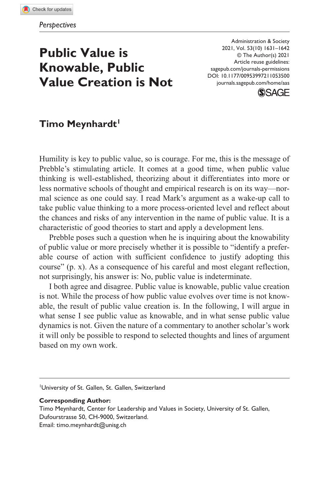**105[3500](http://crossmark.crossref.org/dialog/?doi=10.1177%2F00953997211053500&domain=pdf&date_stamp=2021-10-19)** AAS0010.1177/00953997211053500Administration & Society**Meynhardt**

# **Public Value is Knowable, Public Value Creation is Not**

DOI: 10.1177/00953997211053500 Administration & Society 2021, Vol. 53(10) 1631–1642 © The Author(s) 2021 Article reuse guidelines: [sagepub.com/journals-permissions](https://us.sagepub.com/en-us/journals-permissions) [journals.sagepub.com/home/aas](https://journals.sagepub.com/home/aas)



## Timo Meynhardt<sup>1</sup>

Humility is key to public value, so is courage. For me, this is the message of Prebble's stimulating article. It comes at a good time, when public value thinking is well-established, theorizing about it differentiates into more or less normative schools of thought and empirical research is on its way—normal science as one could say. I read Mark's argument as a wake-up call to take public value thinking to a more process-oriented level and reflect about the chances and risks of any intervention in the name of public value. It is a characteristic of good theories to start and apply a development lens.

Prebble poses such a question when he is inquiring about the knowability of public value or more precisely whether it is possible to "identify a preferable course of action with sufficient confidence to justify adopting this course" (p. x). As a consequence of his careful and most elegant reflection, not surprisingly, his answer is: No, public value is indeterminate.

I both agree and disagree. Public value is knowable, public value creation is not. While the process of how public value evolves over time is not knowable, the result of public value creation is. In the following, I will argue in what sense I see public value as knowable, and in what sense public value dynamics is not. Given the nature of a commentary to another scholar's work it will only be possible to respond to selected thoughts and lines of argument based on my own work.

University of St. Gallen, St. Gallen, Switzerland

**Corresponding Author:**

Timo Meynhardt, Center for Leadership and Values in Society, University of St. Gallen, Dufourstrasse 50, CH-9000, Switzerland. Email: [timo.meynhardt@unisg.ch](mailto:timo.meynhardt@unisg.ch)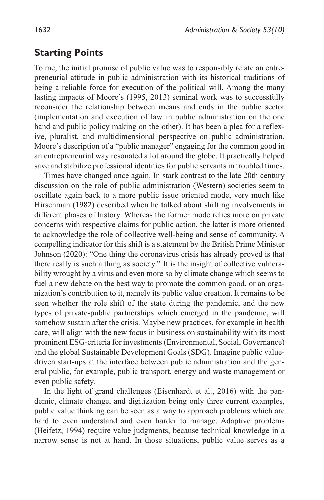## **Starting Points**

To me, the initial promise of public value was to responsibly relate an entrepreneurial attitude in public administration with its historical traditions of being a reliable force for execution of the political will. Among the many lasting impacts of Moore's (1995, 2013) seminal work was to successfully reconsider the relationship between means and ends in the public sector (implementation and execution of law in public administration on the one hand and public policy making on the other). It has been a plea for a reflexive, pluralist, and multidimensional perspective on public administration. Moore's description of a "public manager" engaging for the common good in an entrepreneurial way resonated a lot around the globe. It practically helped save and stabilize professional identities for public servants in troubled times.

Times have changed once again. In stark contrast to the late 20th century discussion on the role of public administration (Western) societies seem to oscillate again back to a more public issue oriented mode, very much like Hirschman (1982) described when he talked about shifting involvements in different phases of history. Whereas the former mode relies more on private concerns with respective claims for public action, the latter is more oriented to acknowledge the role of collective well-being and sense of community. A compelling indicator for this shift is a statement by the British Prime Minister Johnson (2020): "One thing the coronavirus crisis has already proved is that there really is such a thing as society." It is the insight of collective vulnerability wrought by a virus and even more so by climate change which seems to fuel a new debate on the best way to promote the common good, or an organization's contribution to it, namely its public value creation. It remains to be seen whether the role shift of the state during the pandemic, and the new types of private-public partnerships which emerged in the pandemic, will somehow sustain after the crisis. Maybe new practices, for example in health care, will align with the new focus in business on sustainability with its most prominent ESG-criteria for investments (Environmental, Social, Governance) and the global Sustainable Development Goals (SDG). Imagine public valuedriven start-ups at the interface between public administration and the general public, for example, public transport, energy and waste management or even public safety.

In the light of grand challenges (Eisenhardt et al., 2016) with the pandemic, climate change, and digitization being only three current examples, public value thinking can be seen as a way to approach problems which are hard to even understand and even harder to manage. Adaptive problems (Heifetz, 1994) require value judgments, because technical knowledge in a narrow sense is not at hand. In those situations, public value serves as a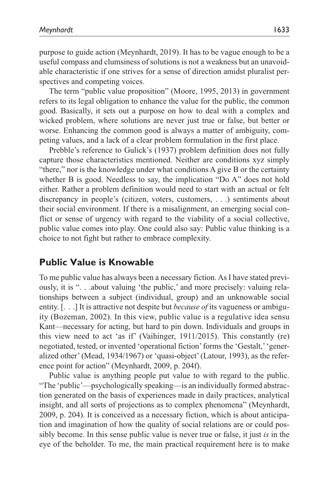purpose to guide action (Meynhardt, 2019). It has to be vague enough to be a useful compass and clumsiness of solutions is not a weakness but an unavoidable characteristic if one strives for a sense of direction amidst pluralist perspectives and competing voices.

The term "public value proposition" (Moore, 1995, 2013) in government refers to its legal obligation to enhance the value for the public, the common good. Basically, it sets out a purpose on how to deal with a complex and wicked problem, where solutions are never just true or false, but better or worse. Enhancing the common good is always a matter of ambiguity, competing values, and a lack of a clear problem formulation in the first place.

Prebble's reference to Gulick's (1937) problem definition does not fully capture those characteristics mentioned. Neither are conditions xyz simply "there," nor is the knowledge under what conditions A give B or the certainty whether B is good. Needless to say, the implication "Do A" does not hold either. Rather a problem definition would need to start with an actual or felt discrepancy in people's (citizen, voters, customers, . . .) sentiments about their social environment. If there is a misalignment, an emerging social conflict or sense of urgency with regard to the viability of a social collective, public value comes into play. One could also say: Public value thinking is a choice to not fight but rather to embrace complexity.

## **Public Value is Knowable**

To me public value has always been a necessary fiction. As I have stated previously, it is ". . .about valuing 'the public,' and more precisely: valuing relationships between a subject (individual, group) and an unknowable social entity. [. . .] It is attractive not despite but *because of* its vagueness or ambiguity (Bozeman, 2002). In this view, public value is a regulative idea sensu Kant—necessary for acting, but hard to pin down. Individuals and groups in this view need to act 'as if' (Vaihinger, 1911/2015). This constantly (re) negotiated, tested, or invented 'operational fiction' forms the 'Gestalt,' 'generalized other' (Mead, 1934/1967) or 'quasi-object' (Latour, 1993), as the reference point for action" (Meynhardt, 2009, p. 204f).

Public value is anything people put value to with regard to the public. "The 'public'—psychologically speaking—is an individually formed abstraction generated on the basis of experiences made in daily practices, analytical insight, and all sorts of projections as to complex phenomena" (Meynhardt, 2009, p. 204). It is conceived as a necessary fiction, which is about anticipation and imagination of how the quality of social relations are or could possibly become. In this sense public value is never true or false, it just *is* in the eye of the beholder. To me, the main practical requirement here is to make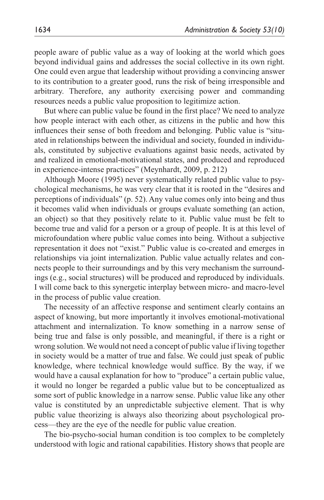people aware of public value as a way of looking at the world which goes beyond individual gains and addresses the social collective in its own right. One could even argue that leadership without providing a convincing answer to its contribution to a greater good, runs the risk of being irresponsible and arbitrary. Therefore, any authority exercising power and commanding resources needs a public value proposition to legitimize action.

But where can public value be found in the first place? We need to analyze how people interact with each other, as citizens in the public and how this influences their sense of both freedom and belonging. Public value is "situated in relationships between the individual and society, founded in individuals, constituted by subjective evaluations against basic needs, activated by and realized in emotional-motivational states, and produced and reproduced in experience-intense practices" (Meynhardt, 2009, p. 212)

Although Moore (1995) never systematically related public value to psychological mechanisms, he was very clear that it is rooted in the "desires and perceptions of individuals" (p. 52). Any value comes only into being and thus it becomes valid when individuals or groups evaluate something (an action, an object) so that they positively relate to it. Public value must be felt to become true and valid for a person or a group of people. It is at this level of microfoundation where public value comes into being. Without a subjective representation it does not "exist." Public value is co-created and emerges in relationships via joint internalization. Public value actually relates and connects people to their surroundings and by this very mechanism the surroundings (e.g., social structures) will be produced and reproduced by individuals. I will come back to this synergetic interplay between micro- and macro-level in the process of public value creation.

The necessity of an affective response and sentiment clearly contains an aspect of knowing, but more importantly it involves emotional-motivational attachment and internalization. To know something in a narrow sense of being true and false is only possible, and meaningful, if there is a right or wrong solution. We would not need a concept of public value if living together in society would be a matter of true and false. We could just speak of public knowledge, where technical knowledge would suffice. By the way, if we would have a causal explanation for how to "produce" a certain public value, it would no longer be regarded a public value but to be conceptualized as some sort of public knowledge in a narrow sense. Public value like any other value is constituted by an unpredictable subjective element. That is why public value theorizing is always also theorizing about psychological process—they are the eye of the needle for public value creation.

The bio-psycho-social human condition is too complex to be completely understood with logic and rational capabilities. History shows that people are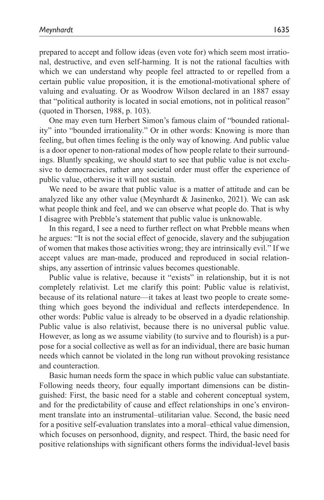prepared to accept and follow ideas (even vote for) which seem most irrational, destructive, and even self-harming. It is not the rational faculties with which we can understand why people feel attracted to or repelled from a certain public value proposition, it is the emotional-motivational sphere of valuing and evaluating. Or as Woodrow Wilson declared in an 1887 essay that "political authority is located in social emotions, not in political reason" (quoted in Thorsen, 1988, p. 103).

One may even turn Herbert Simon's famous claim of "bounded rationality" into "bounded irrationality." Or in other words: Knowing is more than feeling, but often times feeling is the only way of knowing. And public value is a door opener to non-rational modes of how people relate to their surroundings. Bluntly speaking, we should start to see that public value is not exclusive to democracies, rather any societal order must offer the experience of public value, otherwise it will not sustain.

We need to be aware that public value is a matter of attitude and can be analyzed like any other value (Meynhardt  $\&$  Jasinenko, 2021). We can ask what people think and feel, and we can observe what people do. That is why I disagree with Prebble's statement that public value is unknowable.

In this regard, I see a need to further reflect on what Prebble means when he argues: "It is not the social effect of genocide, slavery and the subjugation of women that makes those activities wrong; they are intrinsically evil." If we accept values are man-made, produced and reproduced in social relationships, any assertion of intrinsic values becomes questionable.

Public value is relative, because it "exists" in relationship, but it is not completely relativist. Let me clarify this point: Public value is relativist, because of its relational nature—it takes at least two people to create something which goes beyond the individual and reflects interdependence. In other words: Public value is already to be observed in a dyadic relationship. Public value is also relativist, because there is no universal public value. However, as long as we assume viability (to survive and to flourish) is a purpose for a social collective as well as for an individual, there are basic human needs which cannot be violated in the long run without provoking resistance and counteraction.

Basic human needs form the space in which public value can substantiate. Following needs theory, four equally important dimensions can be distinguished: First, the basic need for a stable and coherent conceptual system, and for the predictability of cause and effect relationships in one's environment translate into an instrumental–utilitarian value. Second, the basic need for a positive self-evaluation translates into a moral–ethical value dimension, which focuses on personhood, dignity, and respect. Third, the basic need for positive relationships with significant others forms the individual-level basis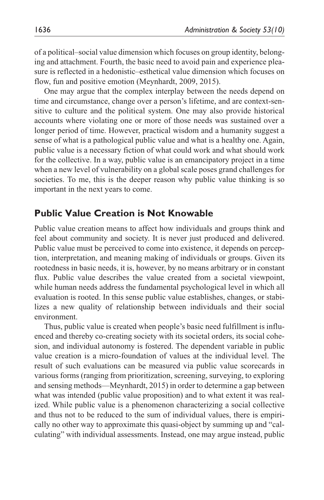of a political–social value dimension which focuses on group identity, belonging and attachment. Fourth, the basic need to avoid pain and experience pleasure is reflected in a hedonistic–esthetical value dimension which focuses on flow, fun and positive emotion (Meynhardt, 2009, 2015).

One may argue that the complex interplay between the needs depend on time and circumstance, change over a person's lifetime, and are context-sensitive to culture and the political system. One may also provide historical accounts where violating one or more of those needs was sustained over a longer period of time. However, practical wisdom and a humanity suggest a sense of what is a pathological public value and what is a healthy one. Again, public value is a necessary fiction of what could work and what should work for the collective. In a way, public value is an emancipatory project in a time when a new level of vulnerability on a global scale poses grand challenges for societies. To me, this is the deeper reason why public value thinking is so important in the next years to come.

# **Public Value Creation is Not Knowable**

Public value creation means to affect how individuals and groups think and feel about community and society. It is never just produced and delivered. Public value must be perceived to come into existence, it depends on perception, interpretation, and meaning making of individuals or groups. Given its rootedness in basic needs, it is, however, by no means arbitrary or in constant flux. Public value describes the value created from a societal viewpoint, while human needs address the fundamental psychological level in which all evaluation is rooted. In this sense public value establishes, changes, or stabilizes a new quality of relationship between individuals and their social environment.

Thus, public value is created when people's basic need fulfillment is influenced and thereby co-creating society with its societal orders, its social cohesion, and individual autonomy is fostered. The dependent variable in public value creation is a micro-foundation of values at the individual level. The result of such evaluations can be measured via public value scorecards in various forms (ranging from prioritization, screening, surveying, to exploring and sensing methods—Meynhardt, 2015) in order to determine a gap between what was intended (public value proposition) and to what extent it was realized. While public value is a phenomenon characterizing a social collective and thus not to be reduced to the sum of individual values, there is empirically no other way to approximate this quasi-object by summing up and "calculating" with individual assessments. Instead, one may argue instead, public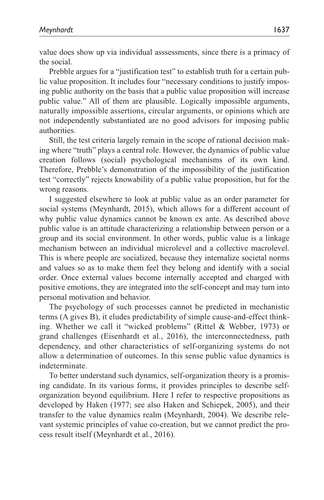value does show up via individual asssessments, since there is a primacy of the social.

Prebble argues for a "justification test" to establish truth for a certain public value proposition. It includes four "necessary conditions to justify imposing public authority on the basis that a public value proposition will increase public value." All of them are plausible. Logically impossible arguments, naturally impossible assertions, circular arguments, or opinions which are not independently substantiated are no good advisors for imposing public authorities.

Still, the test criteria largely remain in the scope of rational decision making where "truth" plays a central role. However, the dynamics of public value creation follows (social) psychological mechanisms of its own kind. Therefore, Prebble's demonstration of the impossibility of the justification test "correctly" rejects knowability of a public value proposition, but for the wrong reasons.

I suggested elsewhere to look at public value as an order parameter for social systems (Meynhardt, 2015), which allows for a different account of why public value dynamics cannot be known ex ante. As described above public value is an attitude characterizing a relationship between person or a group and its social environment. In other words, public value is a linkage mechanism between an individual microlevel and a collective macrolevel. This is where people are socialized, because they internalize societal norms and values so as to make them feel they belong and identify with a social order. Once external values become internally accepted and charged with positive emotions, they are integrated into the self-concept and may turn into personal motivation and behavior.

The psychology of such processes cannot be predicted in mechanistic terms (A gives B), it eludes predictability of simple cause-and-effect thinking. Whether we call it "wicked problems" (Rittel & Webber, 1973) or grand challenges (Eisenhardt et al., 2016), the interconnectedness, path dependency, and other characteristics of self-organizing systems do not allow a determination of outcomes. In this sense public value dynamics is indeterminate.

To better understand such dynamics, self-organization theory is a promising candidate. In its various forms, it provides principles to describe selforganization beyond equilibrium. Here I refer to respective propositions as developed by Haken (1977; see also Haken and Schiepek, 2005), and their transfer to the value dynamics realm (Meynhardt, 2004). We describe relevant systemic principles of value co-creation, but we cannot predict the process result itself (Meynhardt et al., 2016).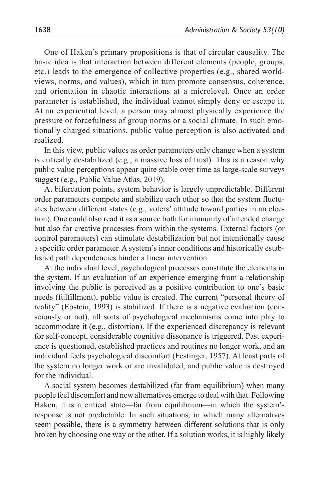One of Haken's primary propositions is that of circular causality. The basic idea is that interaction between different elements (people, groups, etc.) leads to the emergence of collective properties (e.g., shared worldviews, norms, and values), which in turn promote consensus, coherence, and orientation in chaotic interactions at a microlevel. Once an order parameter is established, the individual cannot simply deny or escape it. At an experiential level, a person may almost physically experience the pressure or forcefulness of group norms or a social climate. In such emotionally charged situations, public value perception is also activated and realized.

In this view, public values as order parameters only change when a system is critically destabilized (e.g., a massive loss of trust). This is a reason why public value perceptions appear quite stable over time as large-scale surveys suggest (e.g., Public Value Atlas, 2019).

At bifurcation points, system behavior is largely unpredictable. Different order parameters compete and stabilize each other so that the system fluctuates between different states (e.g., voters' attitude toward parties in an election). One could also read it as a source both for immunity of intended change but also for creative processes from within the systems. External factors (or control parameters) can stimulate destabilization but not intentionally cause a specific order parameter. A system's inner conditions and historically established path dependencies hinder a linear intervention.

At the individual level, psychological processes constitute the elements in the system. lf an evaluation of an experience emerging from a relationship involving the public is perceived as a positive contribution to one's basic needs (fulfillment), public value is created. The current "personal theory of reality" (Epstein, 1993) is stabilized. lf there is a negative evaluation (consciously or not), all sorts of psychological mechanisms come into play to accommodate it (e.g., distortion). If the experienced discrepancy is relevant for self-concept, considerable cognitive dissonance is triggered. Past experience is questioned, established practices and routines no longer work, and an individual feels psychological discomfort (Festinger, 1957). At least parts of the system no longer work or are invalidated, and public value is destroyed for the individual.

A social system becomes destabilized (far from equilibrium) when many people feel discomfort and new alternatives emerge to deal with that. Following Haken, it is a critical state—far from equilibrium—in which the system's response is not predictable. In such situations, in which many alternatives seem possible, there is a symmetry between different solutions that is only broken by choosing one way or the other. If a solution works, it is highly likely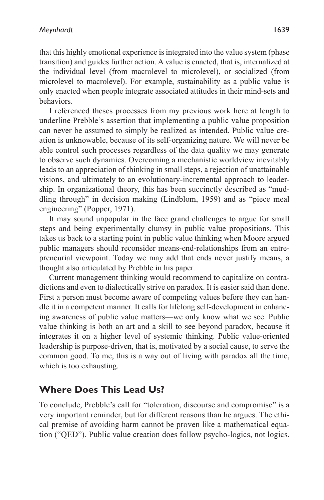that this highly emotional experience is integrated into the value system (phase transition) and guides further action. A value is enacted, that is, internalized at the individual level (from macrolevel to microlevel), or socialized (from microlevel to macrolevel). For example, sustainability as a public value is only enacted when people integrate associated attitudes in their mind-sets and behaviors.

I referenced theses processes from my previous work here at length to underline Prebble's assertion that implementing a public value proposition can never be assumed to simply be realized as intended. Public value creation is unknowable, because of its self-organizing nature. We will never be able control such processes regardless of the data quality we may generate to observe such dynamics. Overcoming a mechanistic worldview inevitably leads to an appreciation of thinking in small steps, a rejection of unattainable visions, and ultimately to an evolutionary-incremental approach to leadership. In organizational theory, this has been succinctly described as "muddling through" in decision making (Lindblom, 1959) and as "piece meal engineering" (Popper, 1971).

It may sound unpopular in the face grand challenges to argue for small steps and being experimentally clumsy in public value propositions. This takes us back to a starting point in public value thinking when Moore argued public managers should reconsider means-end-relationships from an entrepreneurial viewpoint. Today we may add that ends never justify means, a thought also articulated by Prebble in his paper.

Current management thinking would recommend to capitalize on contradictions and even to dialectically strive on paradox. It is easier said than done. First a person must become aware of competing values before they can handle it in a competent manner. It calls for lifelong self-development in enhancing awareness of public value matters—we only know what we see. Public value thinking is both an art and a skill to see beyond paradox, because it integrates it on a higher level of systemic thinking. Public value-oriented leadership is purpose-driven, that is, motivated by a social cause, to serve the common good. To me, this is a way out of living with paradox all the time, which is too exhausting.

# **Where Does This Lead Us?**

To conclude, Prebble's call for "toleration, discourse and compromise" is a very important reminder, but for different reasons than he argues. The ethical premise of avoiding harm cannot be proven like a mathematical equation ("QED"). Public value creation does follow psycho-logics, not logics.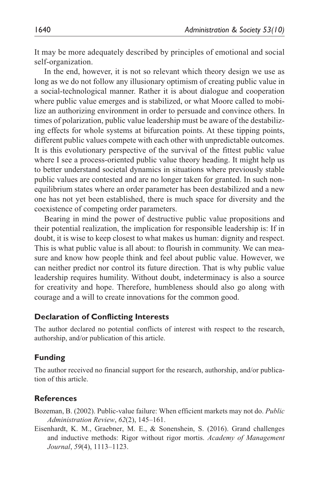It may be more adequately described by principles of emotional and social self-organization.

In the end, however, it is not so relevant which theory design we use as long as we do not follow any illusionary optimism of creating public value in a social-technological manner. Rather it is about dialogue and cooperation where public value emerges and is stabilized, or what Moore called to mobilize an authorizing environment in order to persuade and convince others. In times of polarization, public value leadership must be aware of the destabilizing effects for whole systems at bifurcation points. At these tipping points, different public values compete with each other with unpredictable outcomes. It is this evolutionary perspective of the survival of the fittest public value where I see a process-oriented public value theory heading. It might help us to better understand societal dynamics in situations where previously stable public values are contested and are no longer taken for granted. In such nonequilibrium states where an order parameter has been destabilized and a new one has not yet been established, there is much space for diversity and the coexistence of competing order parameters.

Bearing in mind the power of destructive public value propositions and their potential realization, the implication for responsible leadership is: If in doubt, it is wise to keep closest to what makes us human: dignity and respect. This is what public value is all about: to flourish in community. We can measure and know how people think and feel about public value. However, we can neither predict nor control its future direction. That is why public value leadership requires humility. Without doubt, indeterminacy is also a source for creativity and hope. Therefore, humbleness should also go along with courage and a will to create innovations for the common good.

### **Declaration of Conflicting Interests**

The author declared no potential conflicts of interest with respect to the research, authorship, and/or publication of this article.

### **Funding**

The author received no financial support for the research, authorship, and/or publication of this article.

### **References**

Bozeman, B. (2002). Public-value failure: When efficient markets may not do. *Public Administration Review*, *62*(2), 145–161.

Eisenhardt, K. M., Graebner, M. E., & Sonenshein, S. (2016). Grand challenges and inductive methods: Rigor without rigor mortis. *Academy of Management Journal*, *59*(4), 1113–1123.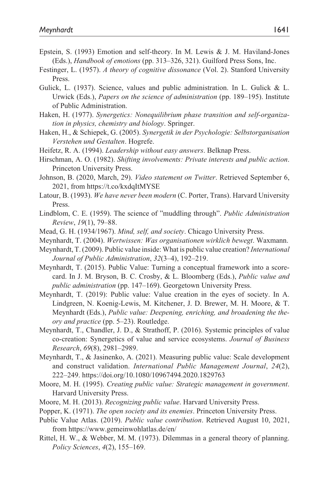- Epstein, S. (1993) Emotion and self-theory. In M. Lewis & J. M. Haviland-Jones (Eds.), *Handbook of emotions* (pp. 313–326, 321). Guilford Press Sons, Inc.
- Festinger, L. (1957). *A theory of cognitive dissonance* (Vol. 2). Stanford University Press.
- Gulick, L. (1937). Science, values and public administration. In L. Gulick & L. Urwick (Eds.), *Papers on the science of administration* (pp. 189–195). Institute of Public Administration.
- Haken, H. (1977). *Synergetics: Nonequilibrium phase transition and self-organization in physics, chemistry and biology*. Springer.
- Haken, H., & Schiepek, G. (2005). *Synergetik in der Psychologie: Selbstorganisation Verstehen und Gestalten*. Hogrefe.
- Heifetz, R. A. (1994). *Leadership without easy answers*. Belknap Press.
- Hirschman, A. O. (1982). *Shifting involvements: Private interests and public action*. Princeton University Press.
- Johnson, B. (2020, March, 29). *Video statement on Twitter*. Retrieved September 6, 2021, from<https://t.co/kxdqItMYSE>
- Latour, B. (1993). *We have never been modern* (C. Porter, Trans). Harvard University Press.
- Lindblom, C. E. (1959). The science of "muddling through". *Public Administration Review*, *19*(1), 79–88.
- Mead, G. H. (1934/1967). *Mind, self, and society*. Chicago University Press.
- Meynhardt, T. (2004). *Wertwissen: Was organisationen wirklich bewegt*. Waxmann.
- Meynhardt, T. (2009). Public value inside: What is public value creation? *International Journal of Public Administration*, *32*(3–4), 192–219.
- Meynhardt, T. (2015). Public Value: Turning a conceptual framework into a scorecard. In J. M. Bryson, B. C. Crosby, & L. Bloomberg (Eds.), *Public value and public administration* (pp. 147–169). Georgetown University Press.
- Meynhardt, T. (2019): Public value: Value creation in the eyes of society. In A. Lindgreen, N. Koenig-Lewis, M. Kitchener, J. D. Brewer, M. H. Moore, & T. Meynhardt (Eds.), *Public value: Deepening, enriching, and broadening the theory and practice* (pp. 5–23). Routledge.
- Meynhardt, T., Chandler, J. D., & Strathoff, P. (2016). Systemic principles of value co-creation: Synergetics of value and service ecosystems. *Journal of Business Research*, *69*(8), 2981–2989.
- Meynhardt, T., & Jasinenko, A. (2021). Measuring public value: Scale development and construct validation. *International Public Management Journal*, *24*(2), 222–249.<https://doi.org/10.1080/10967494.2020.1829763>
- Moore, M. H. (1995). *Creating public value: Strategic management in government*. Harvard University Press.
- Moore, M. H. (2013). *Recognizing public value*. Harvard University Press.
- Popper, K. (1971). *The open society and its enemies*. Princeton University Press.
- Public Value Atlas. (2019). *Public value contribution*. Retrieved August 10, 2021, from https://<www.gemeinwohlatlas.de>/en/
- Rittel, H. W., & Webber, M. M. (1973). Dilemmas in a general theory of planning. *Policy Sciences*, *4*(2), 155–169.